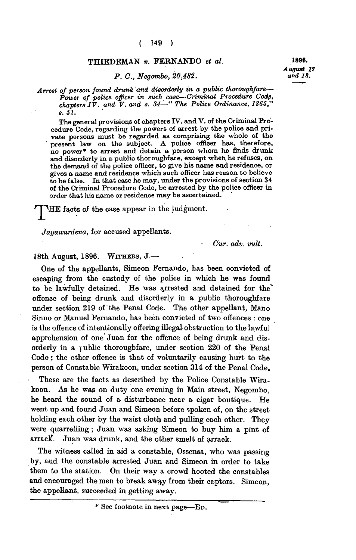## **( 149 )**

## **THIEDEMAN** *v.* **FERNANDO** *et al.* **1896.**

## *P. C., Negombo, 20,482.*

*August 17* 

*Arrest of person found drunk and disorderly in a public thoroughfare— Power of police officer in such case—Criminal Procedure Code, chapters IV. and V. and s. 34—" The Police Ordinance, 1865," s. 51.* 

**The general provisions of chapters IV. and V. of the Criminal Procedure Code, regarding the powers of arrest by the police and private persons must be regarded as comprising the whole of the**  present law on the subject. A police officer has, therefore, **no power\* to arrest and detain a person whom he finds drunk and disorderly in a public thoroughfare, except when he refuses, on the demand of the police officer, to give his name and residence, or gives a name and residence which such officer has reason to believe to be false. In that case he may, under the provisions of section 34 of the Criminal Procedure Code, be arrested by the police officer in order that his name or residence may be ascertained.** 

**HE** facts of the case appear in the judgment.

*Jayawardena,* **for accused appellants.** 

*Cur. adv. vult.* 

**18th August, 1896. WITHERS , J.—** 

**One of the appellants, Simeon Fernando, has been convicted of escaping from the custody of the police in which he was found to be lawfully detained. He was arrested and detained for the" offence of being drunk and disorderly in a public thoroughfare under section 219 of the Penal Code. The other appellant, Mano Sinno or Manuel Fernando, has been convicted of two offences : one is the offence of intentionally offering illegal obstruction to the lawful apprehension of one Juan for the offence of being drunk and disorderly in a public thoroughfare, under section 220 of the Penal Code; the other offence is that of voluntarily causing hurt to the person of Constable Wirakoon, under section 314 of the Penal Code.** 

**These are the facts as described by the Police Constable Wirakoon. As he was on duty one evening in Main street, Negombo, he heard the sound of a disturbance near a cigar boutique. He went up and found Juan and Simeon before spoken of, on the street holding each other by the waist cloth and pulling each other. They were quarrelling ; Juan was asking Simeon to buy him a pint of**  arrack. Juan was drunk, and the other smelt of arrack.

**The witness called in aid a constable, Ossensa, who was passing by, and the constable arrested Juan and Simeon in order to take them to the station. On their way a crowd hooted the constables and encouraged the men to break away from their captors. Simeon, the appellant, succeeded in getting away.** 

**<sup>\*</sup> See footnote in next page—ED.**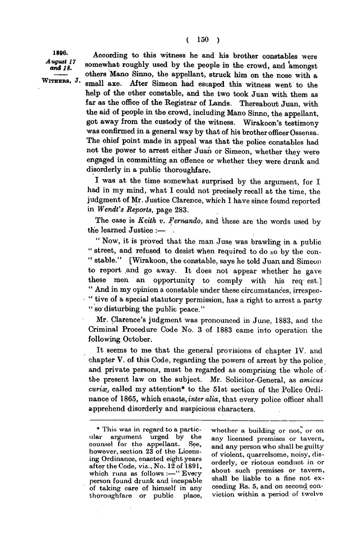1896. August 17 and 18. WITHERS, J.

**According to this witness he and his brother constables were**  somewhat roughly used by the people in the crowd, and amongst **others Mano Sinno, the appellant, struck him on the nose with a small axe. After Simeon had escaped this witness went to the help of the other constable, and the two took Juan with them as far as the office of the Registrar of Lands. Thereabout Juan, with the aid of people in the crowd, including Mano Sinno, the appellant, got away from the custody of the witness. Wirakoon's testimony was confirmed in a general way by that of his brother officer Ossensa. The chief point made in appeal was that the police constables had not the power to arrest either Juan or Simeon, whether they were engaged in committing an offence or whether they were drunk and disorderly in a public thoroughfare.** 

**I was at the time somewhat surprised by the argument, for I had in my mind, what I could not precisely recall at the time, the judgment of Mr. Justice Clarence, which I have since found reported in** *Wendt's Reports,* **page 283.** 

**The case is** *Keith v. Fernando,* **and these are the words used by the learned Justice :—** 

**" Now, it is proved that the man Juse was brawling in a public " street, and refused to desist when required to do so by the con- '• stable." [Wirakoon, the constable, says he told Juan and Simeon to report and go away. It does not appear whether he gave these men an opportunity to comply with his req- est.] " And in my opinion a constable under these circumstances, irrespec- " tive of a special statutory permission, has a right to arrest a party " so disturbing the public peace."** 

**Mr. Clarence's judgment was pronounced in June, 1883, and the Criminal Procedure Code No. 3 of 1883 came into operation the following October.** 

**It seems to me that the general provisions of chapter IV. and chapter V. of this Code, regarding the powers of arrest by the police and private persons, must be regarded as comprising the whole of the present law on the subject. Mr. Solicitor-General, as** *amicus*  curix, called my attention\* to the 51st section of the Police Ordi**nance of 1865, which enacts,** *inter alia,* **that every police officer shall apprehend disorderly and suspicious characters.** 

whether a building or not, or on **any licensed premises or tavern, and any person who shall be guilty of violent, quarrelsome, noisy, disorderly, or riotous conduct in or about such premises or tavern, shall be liable to a fine not exceeding Rs. 5, and on second conviction within a period of twelve** 

**<sup>\*</sup> This was in regard to a particular argument urged by the counsel for the appellant. See, however, section 23 of the Licensing Ordinance, enacted eight years after the Code, viz., No. 12 of 1891, which runs as follows :—" Every person found drunk and incapable of taking care of himself in any thoroughfare or public place,**